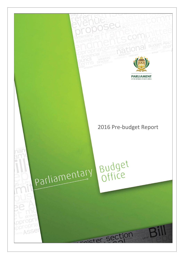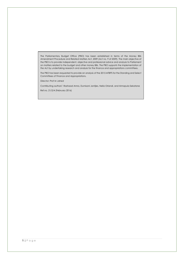The Parliamentary Budget Office (PBO) has been established in terms of the Money Bills Amendment Procedure and Related Matters Act, 2009 (Act no. 9 of 2009). The main objective of the PBO is to provide independent, objective and professional advice and analysis to Parliament on matters related to the budget and other money Bills. The PBO supports the implementation of the Act by undertaking research and analysis for the finance and appropriations committees.

The PBO has been requested to provide an analysis of the 2015 MTBPS for the Standing and Select Committees of Finance and Appropriations.

Director: Prof M Jahed

Contributing authors\* : Rashaad Amra, Dumisani Jantjies, Nelia Orlandi, and Mmapula Sekatane

Ref.no. 21/2/4 (February 2016)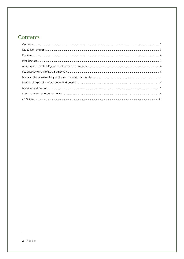# <span id="page-2-0"></span>Contents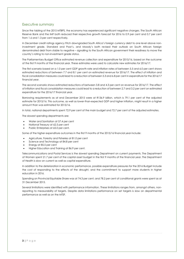## <span id="page-3-0"></span>Executive summary

Since the tabling of the 2015 MTBPS, the economy has experienced significant negative changes. The South African Reserve Bank and the IMF both reduced their respective growth forecast for 2016 to 0.9 per cent and 0.7 per cent from 1.6 and 1.3 per cent respectively.

In December credit ratings agency Fitch downgraded South Africa's foreign currency debt to one level above noninvestment grade. Standard and Poor's, and Moody's both revised their outlook on South African foreign denominated debt from stable to negative – signalling to the South African government their readiness to move the country's rating to non-investment grade status.

The Parliamentary Budget Office estimated revenue collection and expenditure for 2015/16, based on the outcome of the first 9 months of the financial year. These estimates were used to calculate new estimates for 2016/17.

The first scenario based on a 1.0 per cent GDP growth rate and inflation rates of between 5.5 and 6.0 per cent shows estimated reductions of between 7.7 and 8.1 per cent on estimated revenue for 2016/17. The effect of inflation and fiscal consolidation measures could lead to a reduction of between 5.3 and 6.8 per cent in expenditure for the 2016/17 financial year.

The second scenario shows estimated reductions of between 3.8 and 4.3 per cent on revenue for 2016/17. The effect of inflation and fiscal consolidation measures could lead to a reduction of between 2.7 and 3.2 per cent on estimated expenditure for the 2016/17 financial year.

Borrowing requirements as at end December 2015 were at R136.9 billion, which is 79.1 per cent of the adjusted estimate for 2015/16. This outcome, as well as lower-than-expected GDP and higher inflation, might result in a higher amount than was estimated for 2015/16.

In total, national departments spent 72.9 per cent of the main budget and 72.7 per cent of the adjusted estimates.

The slowest spending departments are:

- Water and Sanitation at 57.4 per cent
- National Treasury at 62.5 per cent
- Public Enterprises at 65.0 per cent.

Some of the higher expenditure outcomes in the first 9 months of the 2015/16 financial year include:

- Agriculture, Forestry and Fisheries at 81.0 per cent
- Science and Technology at 84.8 per cent
- Energy at 85.5 per cent
- Higher Education and Training at 86.9 per cent.

Telecommunications and Postal Services is the slowest spending Department on current payments. The Department of Women spent 21.7 per cent of the capital asset budget in the first 9 months of the financial year. The Department of Health is slow on current as well as capital expenditure.

In addition to the deterioration in economic performance, possible expenditure pressures for the 2016 Budget include the cost of responding to the effects of the drought, and the commitment to support more students in higher education in 2016.

Spending on Provincial Equitable Share was at 74.3 per cent, and 78.2 per cent of conditional grants were spent as at 31 December 2015.

Several limitations were identified with performance information. These limitations ranges from, amongst others, nonreporting to measurability of targets. Despite data limitations performance on set targets is slow on departmental performance as well as on the MTSF.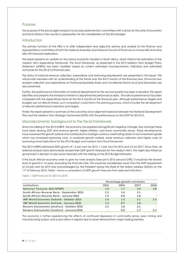### <span id="page-4-0"></span>Purpose

The purpose of the pre-budget analysis is to provide parliamentary committees with a sense for the state of economic and fiscal affairs in the country in preparation for the consideration of the 2016 Budget.

### <span id="page-4-1"></span>**Introduction**

The primary function of the PBO is to offer independent and objective advice and analysis to the Finance and Appropriations committees of both the National Assembly and National Council of Provinces on money bills and other bills with financial implications.

This report presents an update on the macro economic situation in South Africa, which informs the estimation of the medium term expenditure framework. The fiscal framework, as presented in the 2015 Medium Term Budget Policy Statement (MTBPS) has been modified based on current estimated macroeconomic indicators and estimated outcomes for the 2015/16 financial year.

The status of national revenue collection, expenditure and borrowing requirements are presented in this report. This will provide members with an understanding of the trends over the first 9 months of the financial year. Provincial own receipts collection and expenditure on Provincial Equitable Share and Conditional Grants as at end December are also presented.

Further, the performance information of national departments for the second quarter has been evaluated. This report identifies and presents the limitations inherent in departmental performance data. The rate of performance has been compared with the expenditure trend for the first 6 months of the financial year. Although performance targets and budgets are not directly linked, such comparison could inform the planning process, which includes the development of relevant performance indicators and targets.

Finally the report presents a summary of the outcomes of an alignment exercise between the National Development Plan and the Medium Term Strategic Framework (MTSF) with the performance on the MTSF for 2014/15.

### <span id="page-4-2"></span>Macroeconomic background to the Fiscal Framework

Since the tabling of the 2015 MTBPS, the economy has experienced significant negative changes. Key amongst these have been slowing GDP and revenue growth, higher inflation, and lower commodity prices. These developments have worsened the growth outlook and contributed to a foreign-currency credit rating closer to non-investment grade which has increased borrowing costs. A worsened growth outlook, lower revenue collection and higher costs of borrowing have implications for the 2016 Budget and medium term fiscal framework.

The 2015 MTBPS estimated GDP growth of 1.5 per cent for 2015, 1.7 per cent for 2016 and 2.6 for 2017. Since then, all external analysts have downwardly revised their GDP growth forecasts for the medium term. This might also influence government's decision to also revise forecasts with the tabling of the 2016 Budget Estimates.

If the South African economy were to grow by what analysts forecast in 2016 (around 0.9%), it would be the slowest level of growth in 16 years, excluding the financial crisis. This would be considerably lower than the NDP requirement of 5.0 per cent for 2019 and acknowledged by the President during the State of the Nation Address (SONA) on the 11<sup>th</sup> of February 2016. Table 1 shows a comparison of GDP growth forecasts from selected institutions.

### Table 1: GDP forecast for 2015 to 2018

|                                                  | Percentage growth estimates |         |      |      |  |
|--------------------------------------------------|-----------------------------|---------|------|------|--|
| Institutions                                     | 2015                        | 2016    | 2017 | 2018 |  |
| National Treasury: 2015 MTBPS                    | 1.5                         | 1.7     | 2.6  | 2.8  |  |
| South African Reserve Bank - September 2015      | 1.5                         | $1.6\,$ | 2.1  |      |  |
| South African Reserve Bank - January 2016        | 1.3                         | 0.9     | 1.6  |      |  |
| <b>IMF World Economic Outlook - October 2015</b> | 1.4                         | 1.3     | 2.1  | 2.5  |  |
| <b>IMF World Economic Outlook - January 2016</b> | 1.3                         | 0.7     | 1.8  |      |  |
| Reuters Econometer (median) - October 2015       | 1.5                         | 1.8     | 2.1  |      |  |
| Reuters Econometer (median) - January 2016       |                             | 0.9     | 1.7  | 2.1  |  |

The economy is further experiencing the effects of continued depression in commodity prices, poor mining and manufacturing output, and a slow-down in exports due to lower demand from major trading partners.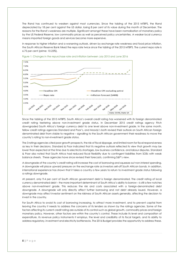The Rand has continued to weaken against most currencies. Since the tabling of the 2015 MTBPS, the Rand depreciated by 18 per cent against the US dollar, losing 8 per cent of its value during the month of December. The reasons for the Rand's weakness are multiple. Significant amongst these have been normalisation of monetary policy by the US Federal Reserve, low commodity prices as well as perceived policy uncertainties. A weaker local currency means imported foreign goods and services become more expensive.

In response to higher inflation and a worsening outlook, driven by exchange rate weakness and food price inflation, the South African Reserve Bank hiked the repo rate twice since the tabling of the 2015 MTBPS. The current repo rate is 6.75 per cent (prime: 10.25%).



Figure 1: Changes in the repurchase rate and inflation between July 2015 and June 2016

Since the tabling of the 2015 MTBPS, South Africa's overall credit rating has worsened with its foreign denominated credit rating teetering above non-investment grade status. In December 2015 credit ratings agency Fitch downgraded South Africa's foreign currency debt to one level above non-investment grade. In the same month, fellow credit ratings agencies Standard and Poor's, and Moody's both revised their outlook on South African foreign denominated debt from stable to negative – signalling to the South African government their readiness to move the country's rating to non-investment grade status.

The 3 ratings agencies cited poor growth prospects, the risk of fiscal slippage, and limited room for fiscal responsiveness as key in their decisions. Standard & Poor indicated that its negative outlook reflected its view that growth may be lower than expected at the time due to electricity shortages, low business confidence, and labour disputes. Standard & Poor also noted that South Africa had reduced fiscal flexibility due to contingent liabilities from SOEs with weak balance sheets. These agencies have since revised their forecasts, confirming S&P's view.

A downgrade of the country's credit rating will increase the cost of borrowing and squeeze out non-interest spending. A downgrade will place upward pressure on the exchange rate as investors sell-off South African bonds. In addition, international experience has shown that it takes a country a few years to return to investment grade status following a ratings downgrade.

At present, only 9.4 per cent of South African government debt is foreign denominated. The credit rating of local currency denominated debt – the more important determinant of South Africa's ability to borrow – is still a few notches above non-investment grade. This reduces the risk and costs associated with a foreign-denominated debt downgrade. A downgrade will only directly affect further borrowing and not debt already issued. However, a downgrade may affect investor sentiment on the riskiness of South African assets generally, affecting the decision to invest in the country.

For South Africa to avoid its cost of borrowing increasing, to attract more investment, and to prevent capital from leaving the country it needs to address the concerns of its lenders as shown by the ratings agencies. Some of the factors affecting its current credit rating are outside of its control such as global growth, commodity prices and foreign monetary policy. However, other factors are within the country's control. These include its level and composition of expenditure, its revenue policy instruments it employs, the level and credibility of its fiscal targets, and its ability to address regulatory, investment and electricity bottlenecks. The 2016 Budget provides the opportunity to address these.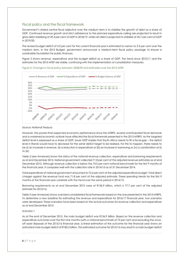### <span id="page-6-0"></span>Fiscal policy and the fiscal framework

Government's stated central fiscal objective over the medium term is to stabilise the growth of debt as a share of GDP. Continued revenue growth and strict adherence to the planned expenditure ceiling are projected to result in gross debt stabilising at 49.4 per cent of GDP in 2018/19, while net debt is projected to stabilise at 45.7 per cent of GDP in 2019/20.

The revised budget deficit of 4.3 per cent for the current financial year is estimated to narrow to 3.5 per cent over the medium term. In the 2015 Budget, government announced a medium-term fiscal policy package to ensure a sustainable foundation for public finances.

Figure 2 shows revenue, expenditure and the budget deficit as a share of GDP. The trend since 2010/11 and the estimates for the 2015 MTEF are stable, continuing with the implementation of consolidation measures.





#### Source: National Treasury

However, the poorer-than-expected economic performance since the MTBPS, several unanticipated fiscal demands and a worsened economic outlook have affected the fiscal framework presented in the 2015 MTBPS. As the targeted deficit level is expressed as a share of GDP, lower GDP implies that South Africa needs to fill a fiscal-gap – the deficit level in Rands would have to decrease for the same deficit target to be realised. For this to happen, there needs to be (i) an increase in revenue, (ii) a reduction in expenditure or (iii) an increase in borrowing or (iv) a combination of (i) to (iii).

Table 2 (see Annexure) shows the status of the national revenue collection, expenditure and borrowing requirements as at end December 2015. National government collected 71.8 per cent of the adjusted revenue estimates as at end December 2015. Although revenue collection is below the 75.0 per cent notional benchmark for the first 9 months of the financial year, it compares well with the collection rate in 2014/15 as at 31 December 2014.

Total expenditure of national government amounted to 72.6 per cent of the adjusted expenditure budget. Total direct charges against the revenue fund was 71.8 per cent of the adjusted estimate. These spending trends for the first 9 months of the financial year correlate with the trend over the same period in 2014/15.

Borrowing requirements as at end December 2015 were at R136.9 billion, which is 77.7 per cent of the adjusted estimate for 2015/16.

Table 3 (see Annexure) shows a revised consolidated fiscal framework based on the one presented in the 2015 MTBPS. To determine a new baseline for estimating the revenue and expenditure for 2016/17 financial year, two scenarios were developed. These scenarios have been based on the actual outcomes for revenue collection and expenditure as at end December 2015.

#### *Scenario 1*

As at the end of December 2015, the main budget deficit was R136.9 billion. Based on the revenue collection and expenditure outcomes over the first nine months (with a notional benchmark of 75 per cent and excluding the onceoff asset disposal) of the 2015/16 financial year, a linear estimation of the outcome for the financial year shows an estimated main budget deficit of R182.5 billion. This estimated outcome for 2015/16 may result in a main budget deficit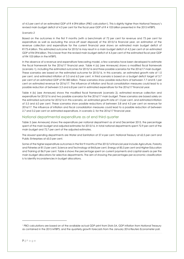of 4.5 per cent of an estimated GDP of R 4 094 billion (PBO calculation<sup>1</sup>). This is slightly higher than National Treasury's revised main budget deficit of 4.3 per cent for the fiscal year GDP of R 4 103 billion presented in the 2015 MTBPS.

#### *Scenario 2*

Based on the outcomes in the first 9 months (with a benchmark of 72 per cent for revenue and 73 per cent for expenditure as well as excluding the once-off asset disposal) of the 2015/16 financial year, an estimation of the revenue collection and expenditure for the current financial year shows an estimated main budget deficit of R173.4 billion. This estimated outcome for 2015/16 may result in a main budget deficit of 4.2 per cent of an estimated GDP of R4 094 billion. This is lower than the revised main budget deficit of 4.3 per cent of the estimated fiscal year GDP of R4 103 billion in the MTBPS.

In the absence of a revenue and expenditure forecasting model, a few scenarios have been developed to estimate the fiscal framework for the 2016/17 financial year. Table 4 (a) (see Annexure) shows a modified fiscal framework (scenario 1), including the estimated outcomes for 2015/16 and three possible scenarios for the 2016/17 main budget. These scenarios are based on the estimated outcome for 2015/16. In this scenario, an estimated growth rate of 1.0 per cent, and estimated inflation of 5.5 and 6.0 per cent. A third scenario is based on a budget deficit target of 3.7 per cent of an estimated GDP of R4 383 billion. These scenarios show possible reductions of between 7.7 and 8.1 per cent on estimated revenue for 2016/17. The influence of inflation and fiscal consolidation measures could lead to a possible reduction of between 5.3 and 6.8 per cent in estimated expenditure for the 2016/17 financial year.

Table 4 (b) (see Annexure) shows the modified fiscal framework (scenario 2), estimated revenue collection and expenditure for 2015/16 and two possible scenarios for the 2016/17 main budget. These scenarios are based solely on the estimated outcome for 2015/16 in this scenario, an estimated growth rate of 1.0 per cent, and estimated inflation of 5.5 and 6.0 per cent. These scenarios show possible reductions of between 3.8 and 4.3 per cent on revenue for 2016/17. The influence of inflation and fiscal consolidation measures could lead to a possible reduction of between 2.7 and 3.2 per cent on estimated expenditure, in scenario 2, for the 2016/17 financial year.

### <span id="page-7-0"></span>National departmental expenditure as at end third quarter

Table 5 (see Annexure) shows the expenditure per national department as at end December 2015, the percentage spent of the main budget and adjusted estimates for 2015/16. In total national departments spent 72.9 per cent of the main budget and 72.7 per cent of the adjusted estimates.

The slowest spending departments are Water and Sanitation at 57.4 per cent, National Treasury at 62.5 per cent and Public Enterprises at 65.0 per cent.

Some of the higher expenditure outcomes in the first 9 months of the 2015/16 financial year include Agriculture, Forestry and Fisheries at 81.0 per cent, Science and Technology at 84.8 per cent, Energy at 85.5 per cent and Higher Education and Training at 86.9 per cent. Table 6 shows the percentage spent on current payments and capital assets as per the main budget allocations for selective departments. The aim of showing the percentages per economic classification is to identify inconsistencies in budget allocations.

 $\overline{a}$ 

<sup>1</sup> PBO calculations are based on of the available actual GDP print from Stats SA, GDP inflation from National Treasury as contained in the 2015 MTBPS, and the quarterly growth forecasts from the January 2016 Reuters Econometer poll.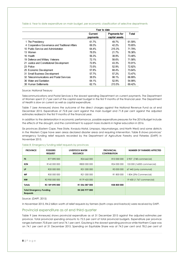|                                                  | Year to date        |                                       |        |  |  |
|--------------------------------------------------|---------------------|---------------------------------------|--------|--|--|
|                                                  | Current<br>pavments | <b>Payments for</b><br>capital assets | Total  |  |  |
| 1 The Presidency                                 | 61.7%               | 49.7%                                 | 61.59% |  |  |
| 4 Cooperative Governance and Traditional Affairs | 69.3%               | $42.2\%$                              | 70.65% |  |  |
| 10 Public Service and Administration             | 64.4%               | 215.3%                                | 71.79% |  |  |
| 13 Women                                         | 78.5%               | 21.7%                                 | 76.38% |  |  |
| 16 Health                                        | 56.3%               | 38.9%                                 | 73.48% |  |  |
| 19 Defence and Military Veterans                 | 72.1%               | 58.6%                                 | 71.58% |  |  |
| 21 Justice and Constitutional Development        | 72.8%               | 43.3%                                 | 70.91% |  |  |
| 23 Police                                        | 73.5%               | 52.9%                                 | 72.82% |  |  |
| 25 Economic Development                          | 57.8%               | 68.4%                                 | 73.64% |  |  |
| 31 Small Business Development                    | 57.7%               | 57.2%                                 | 73.47% |  |  |
| 32 Telecommunications and Postal Services        | 38.5%               | 98.1%                                 | 66.89% |  |  |
| 36 Water and Sanitation                          | 64.1%               | 52.9%                                 | 54.99% |  |  |
| 38 Human Settlements                             | 62.1%               | 213.5%                                | 69.42% |  |  |

Table 6: Year to date expenditure on main budget, per economic classification of selective departments

#### Source: National Treasury

Telecommunications and Postal Services is the slowest spending Department on current payments. The Department of Women spent 21.7 per cent of the capital asset budget in the first 9 months of the financial year. The Department of Health is slow on current as well as capital expenditure.

Table 7 (see Annexure) shows the outcome of the direct charges against the National Revenue Fund as at end December 2015. Expenditure of 72.8 per cent against the main budget and 71.8 per cent against the adjusted estimates realised in the first 9 months of the financial year.

In addition to the deterioration in economic performance, possible expenditure pressures for the 2016 Budget include the effects of the drought, and the commitment to support more students in higher education in 2016.

Six provinces (Eastern Cape, Free State, Kwazulu-Natal, Limpopo, Mpumalanga, and North West) and some districts in the Western Cape have seen areas declared disaster areas and requiring intervention. Table 8 shows provinces' emergency funding relief requests recorded by the Department of Agriculture Forestry and Fisheries (DAFF) in November 2015.

| <b>PROVINCE</b>                                   | <b>FODDERS</b><br><b>REQUEST</b> | LIVESTOCK WATER<br><b>RESOURCE</b> | <b>PROVINCIAL</b><br><b>CONTRIBUTION</b> | <b>NUMBER OF FARMERS AFFECTED</b> |
|---------------------------------------------------|----------------------------------|------------------------------------|------------------------------------------|-----------------------------------|
| <b>FS</b>                                         | R77 890 000                      | R24 662 000                        | R <sub>10</sub> 000 000                  | 2 907 (748 commercial)            |
| <b>KZN</b>                                        | R142 000 000                     | R800 000 000                       | R24 000 000                              | 153 000 (16000 commercial)        |
| LP                                                | R <sub>20</sub> 000 000          | R31 000 000                        | R3 000 000                               | 67 445 (only communal)            |
| MP                                                | R50 000 000                      | R21 000 000                        | R1800000                                 | 804 (396 Commercial)              |
| <b>NW</b>                                         | R <sub>2</sub> 900 000 000       | R <sub>179</sub> 425 000           | $\overline{\phantom{a}}$                 | 19 430 (1 767 commercial)         |
| <b>Totals</b>                                     | R3 189 890 000                   | R1 056 087 000                     | <b>R38 800 000</b>                       |                                   |
| <b>Total Emergency Funding</b><br><b>Requests</b> |                                  | R4 245 977 000                     |                                          |                                   |

#### Table 8: Emergency funding relief requests by provinces

Source: (DAFF, 2015)

In November 2015, R4.2 billion worth of relief requests by farmers (both crops and livestock) were received by DAFF.

### <span id="page-8-0"></span>Provincial expenditure as at end third quarter

Table 9 (see Annexure) shows provincial expenditure as at 31 December 2015 against the adjusted estimates per province. Total provincial spending amounts to 72.5 per cent of total provincial budgets. Expenditure per province ranges between 70.8 per cent and 74.1 per cent. Gauteng is the slowest spending province while Northern Cape was on 74.1 per cent at 31 December 2015. Spending on Equitable Share was at 74.3 per cent and 78.2 per cent of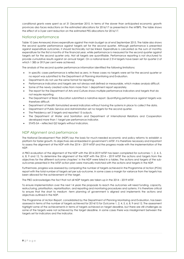conditional grants were spent as at 31 December 2015. In terms of the slower than anticipated economic growth provinces also faces reductions on the estimated allocations for 2016/17 as presented in the MTBPS. The table shows the effect of a 3 per cent reduction on the estimated PES allocations for 2016/17.

### <span id="page-9-0"></span>National performance

Table 10 (see Annexure) shows expenditure against the main budget as at end September 2015. The table also shows the second quarter performance against targets set for the second quarter. Although performance is presented against expenditure outcomes, it should technically not be linked. Expenditure is calculated as the sum of monthly expenditure for the first 6 months of the financial year, while performance is measured for the second quarter against targets set for the second quarter only. Not all targets are quantifiable. Performance reporting is not structured to provide cumulative results against an annual target. On a national level 2 314 targets have been set for quarter 2 of which 1 385 or 59.9 per cent were achieved.

The analysis of the second quarter performance information identified the following limitations:

- In specific cases performance is reflected as zero. In these cases no targets were set for the second quarter or no report was submitted to the Department of Planning Monitoring and Evaluation.
- Departments do not use the same format for reporting.
- Performance indicators and targets are not always well defined or measurable, which makes analysis difficult.
- Some of the newly created votes from more than 1 department report separately.
- The report for the Department of Arts and Culture shows multiple performance indicators and targets that do not require reporting.
- The Department of Basic Education submitted a narrative report. Quantifying performance against targets was therefore difficult.
- Department of Health formulated several indicators without having the systems in place to collect the data.
- Department of Public Service and Administration set no targets for the second quarter.
- The Presidency set 3 targets and reported 15 outputs.
- The Department of Water and Sanitation and Department of International Relations and Cooperation developed more than 1 target per performance indicator.
- STATS-SA reflected Q2 targets without indicators.

### <span id="page-9-1"></span>NDP Alignment and performance

The National Development Plan (NDP) lays the basis for much-needed economic and policy reforms to establish a platform for faster growth. Its objectives are embedded in government's MTSF. It is therefore necessary and important to assess the alignment of the NDP with the 2014 – 2019 MTSF and the progress made with the implementation of the NDP.

A PBO evaluation of the alignment of the NDP with the 2014-2019 MTSF has been completed for outcomes: 1, 2, 4, 5, 6, 8, 9 and 12. To determine the alignment of the NDP with the 2014 – 2019 MTSF the actions and targets from the objectives for the different outcome chapters' in the NDP were listed in a tables. The actions and targets of the suboutcomes presented in the MTSF action plan were manually matched with the actions and targets in the NDP.

Furthermore, progress was assessed by comparing the number of targets achieved in the Programme of Action (POA) report with the total number of targets set per sub-outcome. In some cases a margin for variance from the targets has been allowed for the achievement of the target.

The PBO acknowledges the fact that not all NDP targets are taken-up in the 2014 – 2019 MTSF.

To ensure implementation over the next 14 years the proposals to reach the outcomes will need funding, capacity, restructuring, prioritisation, reprioritisation, and reporting and monitoring procedures and systems. It is therefore critical to ensure that the short to medium -term planning of government is aligned and implements the actions and objectives outlined in the NDP.

The Programme of Action Report, consolidated by the Department of Planning Monitoring and Evaluation, has been assessed in terms of the number of targets achieved for 2014/15 for Outcome 1, 2, 4, 5, 6, 8, 9 and 12. The assessment highlight some of the achievements in terms of targets achieved on target deadline, but there are still challenges as some of the targets were not achieved by the target deadline. In some cases there was misalignment between the targets set for indicators and the indicator.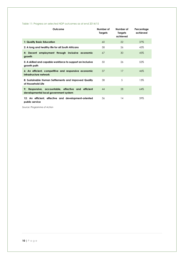### Table 11: Progress on selected NDP outcomes as at end 2014/15

| Outcome                                                                                      | Number of<br>Targets | Number of<br><b>Targets</b><br>achieved | Percentage<br>achieved |
|----------------------------------------------------------------------------------------------|----------------------|-----------------------------------------|------------------------|
| 1: Quality Basic Education                                                                   | 60                   | 22                                      | 37%                    |
| 2: A long and healthy life for all South Africans                                            | 58                   | 26                                      | 45%                    |
| 4: Decent employment through inclusive economic<br>growth                                    | 67                   | 30                                      | 45%                    |
| 5: A skilled and capable workforce to support an inclusive<br>growth path                    | 50                   | 26                                      | 52%                    |
| 6: An efficient, competitive and responsive economic<br>infrastructure network               | 37                   | 17                                      | 46%                    |
| 8: Sustainable Human Settlements and Improved Quality<br>of Household Life                   | 38                   | 5                                       | 13%                    |
| 9: Responsive, accountable, effective and efficient<br>developmental local government system | 44                   | 28                                      | 64%                    |
| 12: An efficient, effective and development-oriented<br>public service                       | 36                   | 14                                      | 39%                    |

*Source: Programme of Action*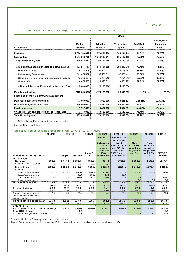### Annexure:

### <span id="page-11-0"></span>Table 2: Summary of national revenue, expenditure and borrowing as at 31 December 2015

|                                                      |                           |                      | 2015/16               |                      |                                            |
|------------------------------------------------------|---------------------------|----------------------|-----------------------|----------------------|--------------------------------------------|
| R thousand                                           | <b>Budget</b><br>estimate | Adjusted<br>estimate | Year to date<br>spent | % of Budget<br>spent | % of Adjusted<br><b>Estimates</b><br>spent |
| Revenue                                              | 1 074 309 619             | 1 070 664 479        | 768 231 145           | 71.51%               | 71.75%                                     |
| <b>Expenditure</b>                                   | 1 247 363 701             | 1 246 930 017        | 905 117 153           | 72.56%               | 72.59%                                     |
| Appropriation by vote                                | 704 516 512               | 706 374 049          | 513 799 935           | 72.93%               | 72.74%                                     |
| Direct charges against the National Revenue Fund     | 537 847 189               | 544 755 968          | 391 317 218           | 72.76%               | 71.83%                                     |
| Debt-service costs                                   | 126 440 428               | 127 902 018          | 83 125 181            | 65.74%               | 64.99%                                     |
| Provincial equitable share                           | 382 673 477               | 386 500 009          | 287 005 119           | 75.00%               | 74.26%                                     |
| General fuel levy sharing with metropolitan municipa | 10 658 909                | 10 658 909           | 7 105 939             | 66.67%               | 66.67%                                     |
| Other costs                                          | 18 074 375                | 19 695 032           | 14 080 979            | 77.91%               | 71.50%                                     |
| Unallocated Reserves/Estimated under exp./LG re      | 5 000 000                 | (4200000)            | (4200000)             |                      |                                            |
| Main budget balance                                  | (173 054 082)             | (176265538)          | (136 886 009)         | 79.1%                | 77.7%                                      |
| Financing of the net borrowing requirement           |                           |                      |                       |                      |                                            |
| Domestic short-term loans (net)                      | 13 000 000                | 13 000 000           | 29 286 803            | 225.28%              | 225.28%                                    |
| Domestic long-term loans (net)                       | 144 809 000               | 144 944 000          | 105 310 985           | 72.72%               | 72.66%                                     |
| Foreign loans (net)                                  | 7 797 000                 | 9 464 000            | $(3\;354\;601)$       | $-43.02%$            | $-35.45%$                                  |
| Change in cash and other balances (- increase)       | 7 448 082                 | 8 8 5 8 0 0 0        | 5 642 822             | 75.76%               | 63.70%                                     |
| Total financing (net)                                | 173 054 082               | 176 265 538          | 136 886 009           | 79.10%               | 77.66%                                     |

Note: Adjusted Estimates for financing are rounded

| Source: National Treasury                                               |                   |                    |                   |                   |                                           |                                             |                       |                       |                    |
|-------------------------------------------------------------------------|-------------------|--------------------|-------------------|-------------------|-------------------------------------------|---------------------------------------------|-----------------------|-----------------------|--------------------|
| Table 3: Revised consolidated fiscal framework, 2014/15 - 2018/19 MTBPS |                   |                    |                   |                   |                                           |                                             |                       |                       |                    |
|                                                                         | 2014/15           | 2015/16            |                   | 2015/16           | 2015/16                                   | 2015/16                                     | 2016/17               | 2016/17               | 2016/17            |
|                                                                         |                   |                    |                   |                   | <b>Scenario</b><br>1:<br><b>Estimated</b> | Scenario 2:<br><b>Estimated</b><br>i.t. o.9 | New                   | New                   |                    |
|                                                                         |                   |                    |                   |                   | i.t. o.9                                  | month trend                                 | estimate              | estimate              |                    |
|                                                                         |                   |                    |                   |                   | month                                     | and 72% for                                 | based on              | based on              |                    |
|                                                                         |                   |                    |                   | As at 31          | trend and<br>75%                          | rev. and<br>73% for exp.                    | 1% growth<br>and $6%$ | 1% growth<br>and 6.0% | <b>MTBPS</b>       |
| R billion/Percentage of GDP                                             |                   | <b>Budget</b>      | Revised           | Dec               | benchmark                                 | benchmark                                   | <b>CPI</b>            | <b>CPI</b>            | <b>Estimate</b>    |
| M ain budget                                                            |                   |                    |                   |                   |                                           |                                             |                       |                       |                    |
| Revenue                                                                 | 963.6             | 1049.3             | 1070.7            | 768.2             | 990.4                                     | 1031.7                                      | 1059.8                | 1 10 3.9              | 1 147.7            |
| of which: Asset disposals                                               |                   |                    | 25.4              | 25.4              | 25.2                                      | 25.2                                        |                       |                       |                    |
| Expenditure<br>of which                                                 | 1 13 2.0          | 1222.3             | 1246.9            | 905.1             | 1 17 2.9                                  | 1205.1                                      | 1243.3                | 1277.4                | 1313.1             |
| Non-interest allocations                                                | 1017.2            | 1095.9             | 1093.8            | 804.9             | 1036.9                                    | 1069.1                                      | 1116.6                | 1150.8                | 1168.0             |
| Special appropriations                                                  |                   |                    | 25.2              | 17.1              | 25.2                                      | 25.2                                        |                       |                       |                    |
| Debt-service costs                                                      | 114.8             | 26.4               | 127.9             | 83.1              | 110.8                                     | 110.8                                       | 124.1                 | 24.1                  | 142.6              |
| Contingency reserve                                                     |                   |                    |                   |                   |                                           |                                             | 2.5                   | 2.5                   | 2.5                |
| Main budget balance                                                     | $-168.4$          | $-173.1$           | $-176.3$          | $-136.9$          | $-182.5$                                  | $-173.4$                                    | $-183.5$              | $-173.5$              | $-165.4$           |
|                                                                         | $-4.4%$           | $-4.1%$            | $-4.3%$           | $-3.3%$           | $-4.5%$                                   | $-4.2%$                                     | $-4.2%$               | $-4.0%$               | $-3.7%$            |
| Primary balance                                                         | $-53.6$<br>$-14%$ | $-46.6$<br>$-1.1%$ | $-48.4$<br>$-12%$ | $-53.8$<br>$-13%$ | $-71.6$<br>$-1.7%$                        | $-62.6$<br>$-1.5%$                          | $-59.4$<br>$-14%$     | $-49.4$<br>$-1.1%$    | $-22.8$<br>$-0.5%$ |
| Budget balances of social                                               | 31.5              | 10.9               | 18.4              | 18.4              | 18.4                                      | 18.4                                        | 20.1                  | 20.1                  | 20.1               |
| security funds, public entities                                         |                   |                    |                   |                   |                                           |                                             |                       |                       |                    |
| and provinces                                                           |                   |                    |                   |                   |                                           |                                             |                       |                       |                    |
| Consolidated budget balan                                               | $-136.9$          | $-162.2$           | $-157.9$          | $-118.5$          | $-164.1$                                  | $-155.0$                                    | $-163.4$              | $-153.4$              | $-145.3$           |
|                                                                         | $-3.6%$           | $-3.9%$            | $-3.8%$           | $-2.9%$           | $-4.0%$                                   | $-3.8%$                                     | $-3.7%$               | $-3.5%$               | $-3.3%$            |
| <b>2015 MTBPS</b>                                                       |                   |                    |                   |                   |                                           |                                             |                       |                       |                    |
| Fiscal year GDP at current prices (R                                    |                   | 4 103.0            | 4 103.0           | 4094.0            | 4094.0                                    | 4094.0                                      | 4383.0                | 4383.0                | 4437.0             |
| <b>Real GDP Growth</b>                                                  |                   |                    | 1.2               |                   |                                           |                                             |                       |                       | 2.1                |
| CPI inflation (Dec 2012=100)                                            |                   |                    | 5.5               |                   |                                           |                                             | 6.0                   | 6.0                   | 6.0                |

Source: National Treasury and own calculations

Note: Debt-service cost increase by 12% in new estimated baseline and expenditure by 6%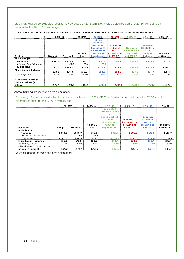Table 4 (a): Revised consolidated fiscal framework based on 2015 MTBPS, estimated actual outcome for 2015/16 and different<br>scenarios for the 2016/17 main budget<br>**Table Revised Consolidated fiscal framework based on 2015 MT** scenarios for the 2016/17 main budget

|                                          | 2015/16              |                      | 2015/16             | 2015/16                                                                 | 2016/17                                             | 2016/17                                      | 2016/17                                        | 2016/17             |
|------------------------------------------|----------------------|----------------------|---------------------|-------------------------------------------------------------------------|-----------------------------------------------------|----------------------------------------------|------------------------------------------------|---------------------|
|                                          |                      |                      | As at 31            | Linear<br>estimated<br>outcome<br>based on 9<br>month trend<br>and 75 % | <b>Scenario</b><br>1.1 based<br>on 1%<br>growth and | <b>Scenario</b><br>1.2 based on<br>1% growth | Scenario<br>$1.3$ stick to -<br>3.7%<br>budget | <b>MTBPS</b>        |
| R billion                                | <b>Budget</b>        | Revised              | Dec                 | benchmark                                                               | 5.5% CPI                                            | and 6% CPI                                   | balance                                        | estimate            |
| M ain budget                             |                      |                      |                     |                                                                         |                                                     |                                              |                                                |                     |
| Revenue                                  | 1049.3               | 1070.7               | 768.2               | 990.4                                                                   | 1054.8                                              | 1059.8                                       | 1059.8                                         | 1 14 7 .7           |
| of which: Asset disposals                |                      | 25.4                 | 25.4                | 25.4                                                                    |                                                     |                                              |                                                |                     |
| Expenditure                              | 1222.3               | 1246.9               | 905.1               | 1 17 2 .9                                                               | 1237.4                                              | 1243.3                                       | 1223.8                                         | 1313.1              |
| Main budget balance<br>Percentage of GDP | $-173.1$<br>$-4.2\%$ | $-176.3$<br>$-4.3\%$ | $-136.9$<br>$-3.3%$ | $-182.5$<br>$-4.5%$                                                     | $-182.6$<br>$-4.2%$                                 | $-183.5$<br>$-4.2%$                          | $-164.0$<br>$-3.7%$                            | $-165.4$<br>$-3.7%$ |
|                                          |                      |                      |                     |                                                                         |                                                     |                                              |                                                |                     |
| Fiscal year GDP at<br>current prices (R  |                      |                      |                     |                                                                         |                                                     |                                              |                                                |                     |
| billion)                                 | 4 103.0              | 4 103.0              | 4094.0              | 4094.0                                                                  | 4 383.0                                             | 4 3 8 3.0                                    | 4383.0                                         | 4437.0              |

Source: National Treasury and own calculations

Table 4(b): Revised consolidated fiscal framework based on 2015 MTBPS, estimated actual outcome for 2015/16 and **2015/ 16 2015/ 16 2016/ 17 2016/ 17 2016/ 17 2015/ 16** different scenarios for the 2016/17 main budget

|                            | 2015/16       |         | 2015/16  | 2015/16                                                                                               | 2016/17                                   | 2016/17                                             | 2016/17      |
|----------------------------|---------------|---------|----------|-------------------------------------------------------------------------------------------------------|-------------------------------------------|-----------------------------------------------------|--------------|
|                            |               |         | As at 31 | <b>Estimated</b><br>outcome based<br>ona<br>benchmark of<br>72 % for<br>revenue and<br><b>73% for</b> | Scenario 2.1<br>based on 1%<br>growth and | <b>Scenario</b><br>2.2 based<br>on 1%<br>growth and | <b>MTBPS</b> |
| R billion                  | <b>Budget</b> | Revised | Dec      | expenditure                                                                                           | 5.5% CPI                                  | 6% CPI                                              | estimate     |
| M ain budget               |               |         |          |                                                                                                       |                                           |                                                     |              |
| Revenue                    | 1049.3        | 1070.7  | 768.2    | 1031.7                                                                                                | 1098.8                                    | 1 103.9                                             | 1 14 7 .7    |
| of which: Asset disposals  |               | 25.4    | 25.4     |                                                                                                       |                                           |                                                     |              |
| Expenditure                | 1222.3        | 1246.9  | 905.1    | 1205.1                                                                                                | 1271.3                                    | 1277.4                                              | 1313.1       |
| Main budget balance        | $-173.1$      | -176.3  | $-136.9$ | $-173.4$                                                                                              | $-172.6$                                  | $-173.4$                                            | $-165.4$     |
| Percentage of GDP          | $-4.2%$       | $-4.3%$ | $-3.3%$  | $-4.2%$                                                                                               | $-3.9%$                                   | $-4.0%$                                             | $-3.7%$      |
| Fiscal year GDP at current |               |         |          |                                                                                                       |                                           |                                                     |              |
| prices (R billion)         | 4 103.0       | 4 103.0 | 4 094.0  | 4094.0                                                                                                | 4 3 8 3 .0                                | 4383.0                                              | 4437.0       |

Source: National Treasury and own calculations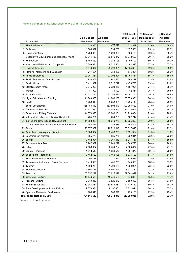### Table 5: Summary of national expenditure as at 31 December 2015

|                                                        |                    |                  | <b>Total spent</b> | % Spent of         | % Spent of       |
|--------------------------------------------------------|--------------------|------------------|--------------------|--------------------|------------------|
|                                                        | <b>Main Budget</b> | Adjusted         | untill 31 Dec      | <b>Main Budget</b> | Adjusted         |
| R thousand                                             | <b>Estimates</b>   | <b>Estimates</b> | 2015               | <b>Estimates</b>   | <b>Estimates</b> |
| 1 The Presidency                                       | 510 330            | 475 929          | 314 337            | 61.6%              | 66.0%            |
| 2 Parliament                                           | 1 566 922          | 1 594 238        | 1 177 501          | 75.1%              | 73.9%            |
| 3 Communications                                       | 1 280 888          | 1 290 888        | 883 189            | 69.0%              | 68.4%            |
| 4 Cooperative Governance and Traditional Affairs       | 69 314 159         | 70 815 477       | 48 972 600         | 70.7%              | 69.2%            |
| 5 Home Affairs                                         | 6 450 822          | 7 348 725        | 5 169 392          | 80.1%              | 70.3%            |
| 6 International Relations and Cooperation              | 5 698 634          | 6 510 854        | 4 404 943          | 77.3%              | 67.7%            |
| 7 National Treasury                                    | 28 976 304         | 28 726 061       | 17 954 329         | 62.0%              | 62.5%            |
| 8 Planning, Monitoring and Evaluation                  | 717 694            | 754 200          | 575 301            | 80.2%              | 76.3%            |
| 9 Public Enterprises                                   | 23 267 481         | 23 302 594       | 15 156 354         | 65.1%              | 65.0%            |
| 10 Public Service and Administration                   | 930 868            | 941 482          | 668 247            | 71.8%              | 71.0%            |
| 11 Public Works                                        | 6 411 087          | 6 312 222        | 4 479 798          | 69.9%              | 71.0%            |
| 12 Statistics South Africa                             | 2 245 208          | 2 323 256        | 1 597 091          | 71.1%              | 68.7%            |
| 13 Women                                               | 187 002            | 189 102          | 142 834            | 76.4%              | 75.5%            |
| 14 Basic Education                                     | 21 511 140         | 21 286 426       | 17 007 164         | 79.1%              | 79.9%            |
| 15 Higher Education and Training                       | 41 843 955         | 41 880 138       | 36 373 351         | 86.9%              | 86.9%            |
| 16 Health                                              | 36 468 018         | 36 253 925       | 26 795 119         | 73.5%              | 73.9%            |
| 17 Social Dev elopment                                 | 138 168 640        | 137 893 640      | 102 058 522        | 73.9%              | 74.0%            |
| 18 Correctional Services                               | 20 617 584         | 20 588 554       | 15 273 076         | 74.1%              | 74.2%            |
| 19 Defence and Military Veterans                       | 44 579 390         | 45 088 161       | 31 910 684         | 71.6%              | 70.8%            |
| 20 Independent Police Investigative Directorate        | 234 781            | 234 781          | 167 747            | 71.4%              | 71.4%            |
| 21 Justice and Constitutional Development              | 14 983 969         | 15 010 773       | 10 625 393         | 70.9%              | 70.8%            |
| 22 Office of the Chief Justice and Judicial Administra | 742 417            | 783 379          | 503 205            | 67.8%              | 64.2%            |
| 23 Police                                              | 76 377 059         | 76 720 848       | 55 617 610         | 72.8%              | 72.5%            |
| 24 Agriculture, Forestry and Fisheries                 | 6 383 007          | 6 408 750        | 5 191 952          | 81.3%              | 81.0%            |
| 25 Economic Development                                | 885 778            | 885 778          | 652 314            | 73.6%              | 73.6%            |
| 26 Energy                                              | 7 482 094          | 7 267 619        | 6 217 147          | 83.1%              | 85.5%            |
| 27 Environmental Affairs                               | 5 947 989          | 5 943 297        | 4 566 726          | 76.8%              | 76.8%            |
| 28 Labour                                              | 2 686 867          | 2 704 234        | 2 083 634          | 77.5%              | 77.1%            |
| 29 Mineral Resources                                   | 1 618 542          | 1 638 542        | 1 301 872          | 80.4%              | 79.5%            |
| 30 Science and Technology                              | 7 482 120          | 7 466 106        | 6 334 102          | 84.7%              | 84.8%            |
| 31 Small Business Development                          | 1 103 188          | 1 127 520        | 810 519            | 73.5%              | 71.9%            |
| 32 Telecommunications and Postal Services              | 1 413 328          | 1 405 253        | 945 366            | 66.9%              | 67.3%            |
| 33 Tourism                                             | 1 800 233          | 1794 178         | 1 320 961          | 73.4%              | 73.6%            |
| 34 Trade and Industry                                  | 9 593 715          | 9 497 844        | 6 931 741          | 72.3%              | 73.0%            |
| 35 Transport                                           | 53 357 297         | 53 615 077       | 39 561 029         | 74.1%              | 73.8%            |
| 36 Water and Sanitation                                | 16 446 530         | 15 746 530       | 9 043 833          | 55.0%              | 57.4%            |
| 37 Arts and Culture                                    | 3 919 859          | 3 826 047        | 2 599 393          | 66.3%              | 67.9%            |
| 38 Human Settlements                                   | 30 943 381         | 30 543 381       | 21 479 752         | 69.4%              | 70.3%            |
| 39 Rural Development and Land Reform                   | 9 379 684          | 9 197 361        | 6 211 644          | 66.2%              | 67.5%            |
| 40 Sport and Recreation South Africa                   | 988 548            | 980 879          | 720 163            | 72.9%              | 73.4%            |
| Total appropriation by vote                            | 704 516 512        | 706 374 049      | 513 799 935        | 72.9%              | 72.7%            |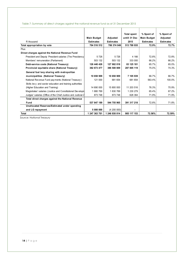### Table 7: Summary of direct charges against the national revenue fund as at 31 December 2015

|                                                              |                                        |                              | <b>Total spent</b>    | % Spent of                             | % Spent of                   |
|--------------------------------------------------------------|----------------------------------------|------------------------------|-----------------------|----------------------------------------|------------------------------|
| R thousand                                                   | <b>Main Budget</b><br><b>Estimates</b> | Adjusted<br><b>Estimates</b> | untill 31 Dec<br>2015 | <b>Main Budget</b><br><b>Estimates</b> | Adjusted<br><b>Estimates</b> |
|                                                              | 704 516 512                            | 706 374 049                  | 513 799 935           | 72.9%                                  | 72.7%                        |
| Total appropriation by vote                                  |                                        |                              |                       |                                        |                              |
| Plus:                                                        |                                        |                              |                       |                                        |                              |
| Direct charges against the National Revenue Fund             |                                        |                              |                       |                                        |                              |
| President and Deputy President salaries (The Presidency)     | 5726                                   | 5726                         | 4 1 6 6               | 72.8%                                  | 72.8%                        |
| Members' remuneration (Parliament)                           | 503 132                                | 503 132                      | 333 000               | 66.2%                                  | 66.2%                        |
| Debt-service costs (National Treasury)                       | 126 440 428                            | 127 902 018                  | 83 125 181            | 65.7%                                  | 65.0%                        |
| Provincial equitable share (National Treasury)               | 382 673 477                            | 386 500 009                  | 287 005 119           | 75.0%                                  | 74.3%                        |
| General fuel levy sharing with metropolitan                  |                                        |                              |                       |                                        |                              |
| municipalities (National Treasury)                           | 10 658 909                             | 10 658 909                   | 7 105 939             | 66.7%                                  | 66.7%                        |
| National Revenue Fund payments (National Treasury)           | 121 000                                | 681 654                      | 681 654               | 563.4%                                 | 100.0%                       |
| Skills levy and sector education and training authorities    |                                        |                              |                       |                                        |                              |
| (Higher Education and Training)                              | 14 690 000                             | 15 800 000                   | 11 203 516            | 76.3%                                  | 70.9%                        |
| Magistrates' salaries (Justice and Constitutional Developn   | 1880 769                               | 1830769                      | 1 230 279             | 65.4%                                  | 67.2%                        |
| Judges' salaries (Office of the Chief Justice and Judicial A | 873 748                                | 873 748                      | 628 364               | 71.9%                                  | 71.9%                        |
| Total direct charges against the National Revenue            |                                        |                              |                       |                                        |                              |
| Fund                                                         | 537 847 189                            | 544 755 965                  | 391 317 218           | 72.8%                                  | 71.8%                        |
| Unallocated Reserves/Estimated under spending                |                                        |                              |                       |                                        |                              |
| and LG repayment                                             | 5 000 000                              | (4200000)                    |                       |                                        |                              |
| Total                                                        | 1 247 363 701                          | 1 246 930 014                | 905 117 153           | 72.56%                                 | 72.59%                       |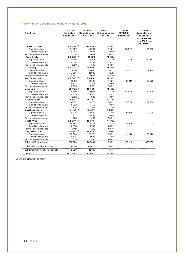| R million                         | 2015/16<br>Adjusted<br><b>Estimates</b> | 2015/16<br>Spending as<br>at 31 Dec | 2015/17<br>% Spent as at<br>31Dec | 2016/17<br><b>MTBPS</b><br><b>Estimate</b> | 2016/17<br><b>Speculative</b><br>revised<br>estimate of<br>less 3% from<br><b>MTBPS</b> |
|-----------------------------------|-----------------------------------------|-------------------------------------|-----------------------------------|--------------------------------------------|-----------------------------------------------------------------------------------------|
| <b>Eastern Cape</b>               | 65934                                   | 48 690                              | 73.8%                             |                                            |                                                                                         |
| Equitable share                   | 54 867                                  | 40734                               | 74.2%                             | 58 272                                     | 56 523                                                                                  |
| Conditional grants                | 9963                                    | 7956                                | 79.9%                             |                                            |                                                                                         |
| Provincial own receipts           | 1104                                    | 1007                                | 91.2%                             |                                            |                                                                                         |
| <b>Free State</b>                 | 29 628                                  | 21581                               | 72.8%                             |                                            |                                                                                         |
| Equitable share                   | 21996                                   | 16 3 18                             | 74.2%                             | 23079                                      | 22 3 8 7                                                                                |
| Conditional grants                | 6624                                    | 5263                                | 79.5%                             |                                            |                                                                                         |
| Provincial own receipts           | 1008                                    | 668                                 | 66.3%                             |                                            |                                                                                         |
| Gauteng                           | 96 052                                  | 68 045                              | 70.8%                             |                                            |                                                                                         |
| Equitable share                   | 74 100                                  | 55 060                              | 74.3%                             | 79892                                      | 77496                                                                                   |
| Conditional grants                | 17 0 55                                 | 12985                               | 76.1%                             |                                            |                                                                                         |
| Provincial own receipts           | 4897                                    | 4032                                | 82.3%                             |                                            |                                                                                         |
| KwaZulu-Natal                     | 103 005                                 | ×<br>75 106                         | 72.9%                             |                                            |                                                                                         |
| Equitable share                   | 83 132                                  | 61690                               | 74.2%                             | 88 217                                     | 85 570                                                                                  |
| Conditional grants                | 16878                                   | 13416                               | 79.5%                             |                                            |                                                                                         |
| Provincial own receipts           | 2995                                    | 2 3 5 1                             | 78.5%                             |                                            |                                                                                         |
| Limpopo                           | 53 901                                  | 39 009                              | 72.4%                             |                                            |                                                                                         |
| Equitable share                   | 45 866                                  | 34 033                              | 74.2%                             | 48885                                      | 47419                                                                                   |
| Conditional grants                | 6833                                    | 4976                                | 72.8%                             |                                            |                                                                                         |
| Provincial own receipts           | 1202                                    | 883                                 | 73.5%                             |                                            |                                                                                         |
| M pumalanga                       | 38 985                                  | 28722                               | 73.7%                             |                                            |                                                                                         |
| Equitable share                   | 31337                                   | 23 27 2                             | 74.3%                             | 33 573                                     | 32 5 66                                                                                 |
| Conditional grants                | 6822                                    | 5450                                | 79.9%                             |                                            |                                                                                         |
| Provincial own receipts           | 826                                     | 617                                 | 74.7%                             |                                            |                                                                                         |
| <b>Northern Cape</b>              | 14 16 6                                 | 10 4 9 7                            | 74.1%                             |                                            |                                                                                         |
| Equitable share                   | 10 2 26                                 | 7603                                | 74.4%                             | 10 902                                     | 10575                                                                                   |
| Conditional grants                | 3637                                    | 2894                                | 79.6%                             |                                            |                                                                                         |
| Provincial own receipts           | 303                                     | 239                                 | 78.9%                             |                                            |                                                                                         |
| <b>North West</b>                 | 34294                                   | 25 373                              | 74.0%                             |                                            |                                                                                         |
| Equitable share                   | 26 397                                  | 19613                               | 74.3%                             | 28 166                                     | 27 3 21                                                                                 |
| Conditional grants                | 6878                                    | 5760                                | 83.7%                             |                                            |                                                                                         |
| Provincial own receipts           | 1019                                    | 619                                 | 60.7%                             |                                            |                                                                                         |
| <b>Western Cape</b>               | 51531                                   | 36 604                              | 71.0%                             |                                            |                                                                                         |
| Equitable share                   | 38 580                                  | 28 681                              | 74.3%                             | 41213                                      | 39976                                                                                   |
| Conditional grants                | 10476                                   | 7923                                | 75.6%                             |                                            |                                                                                         |
| Provincial own receipts           | 2475                                    | 1990                                | 80.4%                             |                                            |                                                                                         |
| Sub-total Equitable share         | 386 500                                 | 287 004                             | 74.3%                             | 412 199                                    | 399833                                                                                  |
| Sub-total Conditional grants      | 85 166                                  | 66 623                              | 78.2%                             |                                            |                                                                                         |
| Sub-total Provincial own receipts | 15829                                   | 12 4 0 6                            | 78.4%                             |                                            |                                                                                         |
| Total                             | 487 495                                 | 353 627                             | 72.5%                             |                                            |                                                                                         |